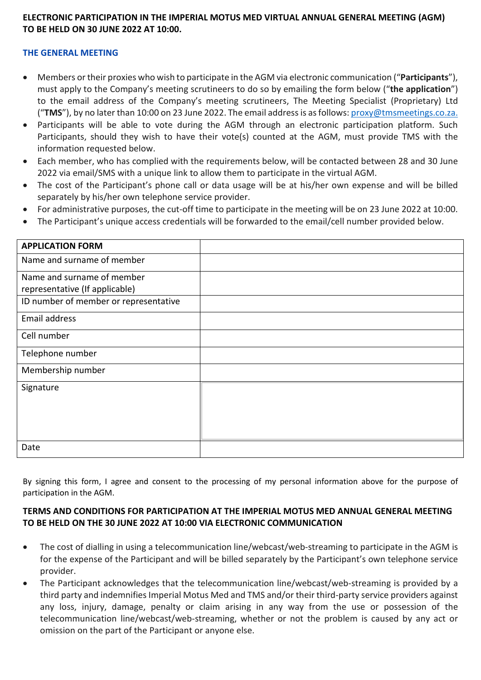## **ELECTRONIC PARTICIPATION IN THE IMPERIAL MOTUS MED VIRTUAL ANNUAL GENERAL MEETING (AGM) TO BE HELD ON 30 JUNE 2022 AT 10:00.**

## **THE GENERAL MEETING**

- Members or their proxies who wish to participate in the AGM via electronic communication ("**Participants**"), must apply to the Company's meeting scrutineers to do so by emailing the form below ("**the application**") to the email address of the Company's meeting scrutineers, The Meeting Specialist (Proprietary) Ltd ("**TMS**"), by no later than 10:00 on 23 June 2022. The email address is as follows: proxy@tmsmeetings.co.za.
- Participants will be able to vote during the AGM through an electronic participation platform. Such Participants, should they wish to have their vote(s) counted at the AGM, must provide TMS with the information requested below.
- Each member, who has complied with the requirements below, will be contacted between 28 and 30 June 2022 via email/SMS with a unique link to allow them to participate in the virtual AGM.
- The cost of the Participant's phone call or data usage will be at his/her own expense and will be billed separately by his/her own telephone service provider.
- For administrative purposes, the cut-off time to participate in the meeting will be on 23 June 2022 at 10:00.
- The Participant's unique access credentials will be forwarded to the email/cell number provided below.

| <b>APPLICATION FORM</b>               |  |
|---------------------------------------|--|
| Name and surname of member            |  |
| Name and surname of member            |  |
| representative (If applicable)        |  |
| ID number of member or representative |  |
| Email address                         |  |
| Cell number                           |  |
| Telephone number                      |  |
| Membership number                     |  |
| Signature                             |  |
|                                       |  |
|                                       |  |
|                                       |  |
| Date                                  |  |

By signing this form, I agree and consent to the processing of my personal information above for the purpose of participation in the AGM.

## **TERMS AND CONDITIONS FOR PARTICIPATION AT THE IMPERIAL MOTUS MED ANNUAL GENERAL MEETING TO BE HELD ON THE 30 JUNE 2022 AT 10:00 VIA ELECTRONIC COMMUNICATION**

- The cost of dialling in using a telecommunication line/webcast/web-streaming to participate in the AGM is for the expense of the Participant and will be billed separately by the Participant's own telephone service provider.
- The Participant acknowledges that the telecommunication line/webcast/web-streaming is provided by a third party and indemnifies Imperial Motus Med and TMS and/or their third-party service providers against any loss, injury, damage, penalty or claim arising in any way from the use or possession of the telecommunication line/webcast/web-streaming, whether or not the problem is caused by any act or omission on the part of the Participant or anyone else.